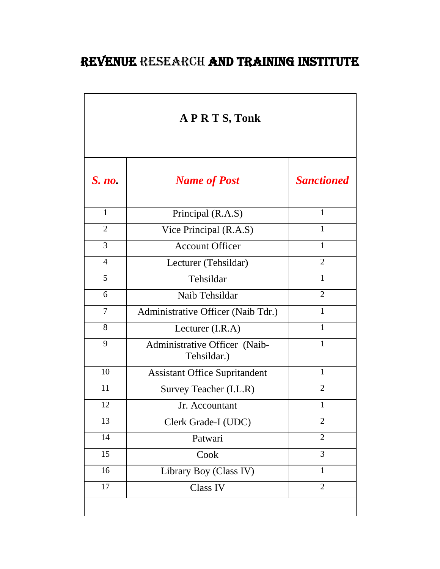## REVENUE RESEARCH AND TRAINING INSTITUTE

| <b>APRTS, Tonk</b> |                                              |                   |  |  |
|--------------------|----------------------------------------------|-------------------|--|--|
| $S.$ <i>no</i> .   | <b>Name of Post</b>                          | <b>Sanctioned</b> |  |  |
| $\mathbf{1}$       | Principal (R.A.S)                            | 1                 |  |  |
| $\overline{2}$     | Vice Principal (R.A.S)                       | 1                 |  |  |
| 3                  | <b>Account Officer</b>                       | 1                 |  |  |
| $\overline{4}$     | Lecturer (Tehsildar)                         | $\overline{2}$    |  |  |
| 5                  | Tehsildar                                    | $\mathbf{1}$      |  |  |
| 6                  | Naib Tehsildar                               | $\overline{2}$    |  |  |
| 7                  | Administrative Officer (Naib Tdr.)           | $\mathbf{1}$      |  |  |
| 8                  | Lecturer $(I.R.A)$                           | $\mathbf{1}$      |  |  |
| 9                  | Administrative Officer (Naib-<br>Tehsildar.) | $\mathbf{1}$      |  |  |
| 10                 | <b>Assistant Office Supritandent</b>         | $\mathbf{1}$      |  |  |
| 11                 | Survey Teacher (I.L.R)                       | $\overline{2}$    |  |  |
| 12                 | Jr. Accountant                               | $\mathbf{1}$      |  |  |
| 13                 | Clerk Grade-I (UDC)                          | $\overline{c}$    |  |  |
| 14                 | Patwari                                      | $\overline{2}$    |  |  |
| 15                 | Cook                                         | $\overline{3}$    |  |  |
| 16                 | Library Boy (Class IV)                       | $\mathbf{1}$      |  |  |
| 17                 | Class IV                                     | $\overline{2}$    |  |  |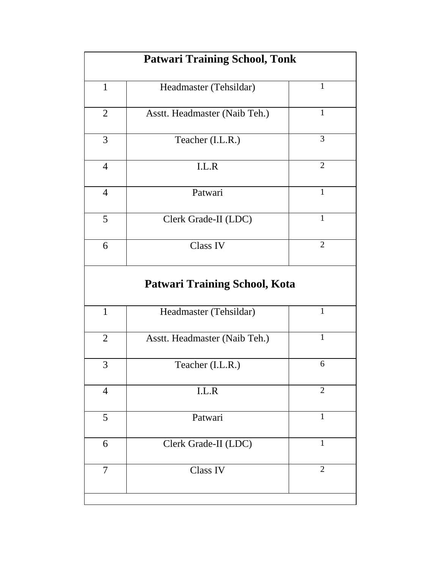| <b>Patwari Training School, Tonk</b> |                                      |                |  |  |
|--------------------------------------|--------------------------------------|----------------|--|--|
| $\mathbf{1}$                         | Headmaster (Tehsildar)               | $\mathbf{1}$   |  |  |
| $\overline{2}$                       | Asstt. Headmaster (Naib Teh.)        | $\mathbf{1}$   |  |  |
| $\overline{3}$                       | Teacher (I.L.R.)                     | $\overline{3}$ |  |  |
| $\overline{4}$                       | I.L.R                                | $\overline{2}$ |  |  |
| $\overline{4}$                       | Patwari                              | $\mathbf{1}$   |  |  |
| 5                                    | Clerk Grade-II (LDC)                 | $\mathbf{1}$   |  |  |
| 6                                    | <b>Class IV</b>                      | $\overline{2}$ |  |  |
|                                      | <b>Patwari Training School, Kota</b> |                |  |  |
| $\mathbf{1}$                         | Headmaster (Tehsildar)               | $\mathbf{1}$   |  |  |
| $\overline{2}$                       | Asstt. Headmaster (Naib Teh.)        | $\mathbf{1}$   |  |  |
| $\overline{3}$                       | Teacher (I.L.R.)                     | 6              |  |  |
| $\overline{4}$                       | I.L.R                                | $\overline{2}$ |  |  |
| 5                                    | Patwari                              | $\mathbf{1}$   |  |  |
| 6                                    | Clerk Grade-II (LDC)                 | $\mathbf{1}$   |  |  |
| 7                                    | Class IV                             | $\overline{2}$ |  |  |
|                                      |                                      |                |  |  |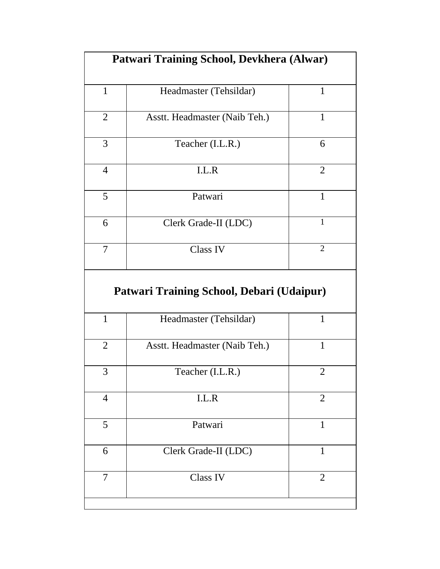|                | Patwari Training School, Devkhera (Alwar) |                |  |
|----------------|-------------------------------------------|----------------|--|
| $\mathbf{1}$   | Headmaster (Tehsildar)                    | $\mathbf{1}$   |  |
| $\overline{2}$ | Asstt. Headmaster (Naib Teh.)             | $\mathbf{1}$   |  |
| 3              | Teacher (I.L.R.)                          | 6              |  |
| $\overline{4}$ | I.L.R                                     | $\overline{2}$ |  |
| 5              | Patwari                                   | 1              |  |
| 6              | Clerk Grade-II (LDC)                      | $\mathbf{1}$   |  |
|                |                                           | $\overline{2}$ |  |
| $\overline{7}$ | Class IV                                  |                |  |
|                | Patwari Training School, Debari (Udaipur) |                |  |
| $\mathbf{1}$   | Headmaster (Tehsildar)                    | $\mathbf{1}$   |  |
| $\overline{2}$ | Asstt. Headmaster (Naib Teh.)             | $\mathbf{1}$   |  |
| 3              | Teacher (I.L.R.)                          | $\overline{2}$ |  |
| $\overline{4}$ | I.L.R                                     | $\overline{2}$ |  |
| 5              | Patwari                                   | $\mathbf{1}$   |  |
| 6              | Clerk Grade-II (LDC)                      | 1              |  |